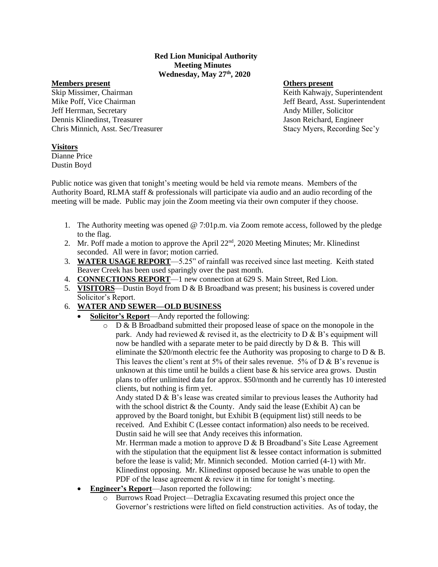## **Red Lion Municipal Authority Meeting Minutes Wednesday, May 27th, 2020**

### **Members present Others present**

Skip Missimer, Chairman Keith Kahwajy, Superintendent Mike Poff, Vice Chairman and The State of the State of Testas and Jeff Beard, Asst. Superintendent Jeff Herrman, Secretary Andy Miller, Solicitor Dennis Klinedinst, Treasurer Jason Reichard, Engineer Chris Minnich, Asst. Sec/Treasurer Stacy Myers, Recording Sec'y

## **Visitors**

Dianne Price Dustin Boyd

Public notice was given that tonight's meeting would be held via remote means. Members of the Authority Board, RLMA staff & professionals will participate via audio and an audio recording of the meeting will be made. Public may join the Zoom meeting via their own computer if they choose.

- 1. The Authority meeting was opened @ 7:01p.m. via Zoom remote access, followed by the pledge to the flag.
- 2. Mr. Poff made a motion to approve the April 22<sup>nd</sup>, 2020 Meeting Minutes; Mr. Klinedinst seconded. All were in favor; motion carried.
- 3. **WATER USAGE REPORT**—5.25" of rainfall was received since last meeting. Keith stated Beaver Creek has been used sparingly over the past month.
- 4. **CONNECTIONS REPORT**—1 new connection at 629 S. Main Street, Red Lion.
- 5. **VISITORS**—Dustin Boyd from D & B Broadband was present; his business is covered under Solicitor's Report.
- 6. **WATER AND SEWER—OLD BUSINESS**
	- **Solicitor's Report**—Andy reported the following:
		- $\circ$  D & B Broadband submitted their proposed lease of space on the monopole in the park. Andy had reviewed  $\&$  revised it, as the electricity to D  $\&$  B's equipment will now be handled with a separate meter to be paid directly by  $D \& B$ . This will eliminate the  $$20/m$ onth electric fee the Authority was proposing to charge to D & B. This leaves the client's rent at 5% of their sales revenue. 5% of D & B's revenue is unknown at this time until he builds a client base & his service area grows. Dustin plans to offer unlimited data for approx. \$50/month and he currently has 10 interested clients, but nothing is firm yet.

Andy stated D & B's lease was created similar to previous leases the Authority had with the school district  $\&$  the County. Andy said the lease (Exhibit A) can be approved by the Board tonight, but Exhibit B (equipment list) still needs to be received. And Exhibit C (Lessee contact information) also needs to be received. Dustin said he will see that Andy receives this information.

Mr. Herrman made a motion to approve  $D \& B$  B Broadband's Site Lease Agreement with the stipulation that the equipment list  $\&$  lessee contact information is submitted before the lease is valid; Mr. Minnich seconded. Motion carried (4-1) with Mr. Klinedinst opposing. Mr. Klinedinst opposed because he was unable to open the PDF of the lease agreement & review it in time for tonight's meeting.

- **Engineer's Report**—Jason reported the following:
	- o Burrows Road Project—Detraglia Excavating resumed this project once the Governor's restrictions were lifted on field construction activities. As of today, the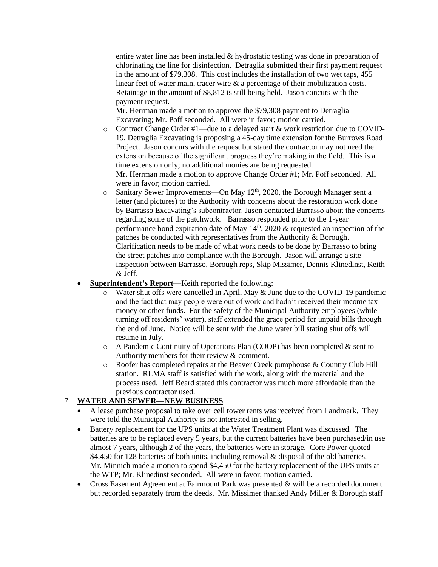entire water line has been installed & hydrostatic testing was done in preparation of chlorinating the line for disinfection. Detraglia submitted their first payment request in the amount of \$79,308. This cost includes the installation of two wet taps, 455 linear feet of water main, tracer wire & a percentage of their mobilization costs. Retainage in the amount of \$8,812 is still being held. Jason concurs with the payment request.

Mr. Herrman made a motion to approve the \$79,308 payment to Detraglia Excavating; Mr. Poff seconded. All were in favor; motion carried.

- o Contract Change Order #1—due to a delayed start & work restriction due to COVID-19, Detraglia Excavating is proposing a 45-day time extension for the Burrows Road Project. Jason concurs with the request but stated the contractor may not need the extension because of the significant progress they're making in the field. This is a time extension only; no additional monies are being requested. Mr. Herrman made a motion to approve Change Order #1; Mr. Poff seconded. All were in favor; motion carried.
- o Sanitary Sewer Improvements—On May 12<sup>th</sup>, 2020, the Borough Manager sent a letter (and pictures) to the Authority with concerns about the restoration work done by Barrasso Excavating's subcontractor. Jason contacted Barrasso about the concerns regarding some of the patchwork. Barrasso responded prior to the 1-year performance bond expiration date of May  $14<sup>th</sup>$ , 2020  $&$  requested an inspection of the patches be conducted with representatives from the Authority & Borough. Clarification needs to be made of what work needs to be done by Barrasso to bring the street patches into compliance with the Borough. Jason will arrange a site inspection between Barrasso, Borough reps, Skip Missimer, Dennis Klinedinst, Keith & Jeff.
- **Superintendent's Report**—Keith reported the following:
	- o Water shut offs were cancelled in April, May & June due to the COVID-19 pandemic and the fact that may people were out of work and hadn't received their income tax money or other funds. For the safety of the Municipal Authority employees (while turning off residents' water), staff extended the grace period for unpaid bills through the end of June. Notice will be sent with the June water bill stating shut offs will resume in July.
	- o A Pandemic Continuity of Operations Plan (COOP) has been completed & sent to Authority members for their review & comment.
	- o Roofer has completed repairs at the Beaver Creek pumphouse & Country Club Hill station. RLMA staff is satisfied with the work, along with the material and the process used. Jeff Beard stated this contractor was much more affordable than the previous contractor used.

# 7. **WATER AND SEWER—NEW BUSINESS**

- A lease purchase proposal to take over cell tower rents was received from Landmark. They were told the Municipal Authority is not interested in selling.
- Battery replacement for the UPS units at the Water Treatment Plant was discussed. The batteries are to be replaced every 5 years, but the current batteries have been purchased/in use almost 7 years, although 2 of the years, the batteries were in storage. Core Power quoted \$4,450 for 128 batteries of both units, including removal & disposal of the old batteries. Mr. Minnich made a motion to spend \$4,450 for the battery replacement of the UPS units at the WTP; Mr. Klinedinst seconded. All were in favor; motion carried.
- Cross Easement Agreement at Fairmount Park was presented & will be a recorded document but recorded separately from the deeds. Mr. Missimer thanked Andy Miller & Borough staff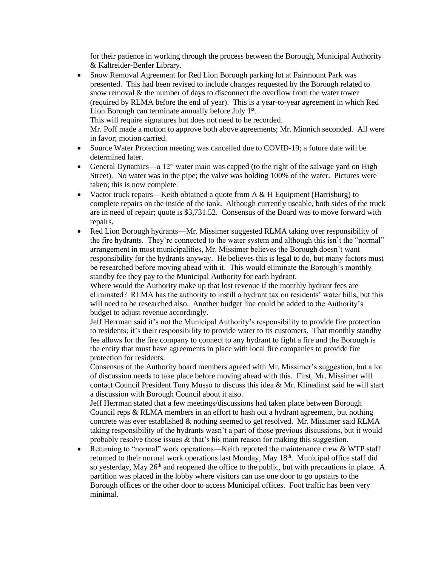for their patience in working through the process between the Borough, Municipal Authority & Kaltreider-Benfer Library.

• Snow Removal Agreement for Red Lion Borough parking lot at Fairmount Park was presented. This had been revised to include changes requested by the Borough related to snow removal & the number of days to disconnect the overflow from the water tower (required by RLMA before the end of year). This is a year-to-year agreement in which Red Lion Borough can terminate annually before July  $1<sup>st</sup>$ . This will require signatures but does not need to be recorded. Mr. Poff made a motion to approve both above agreements; Mr. Minnich seconded. All were

in favor; motion carried.

- Source Water Protection meeting was cancelled due to COVID-19; a future date will be determined later.
- General Dynamics—a 12" water main was capped (to the right of the salvage yard on High Street). No water was in the pipe; the valve was holding 100% of the water. Pictures were taken; this is now complete.
- Vactor truck repairs—Keith obtained a quote from A & H Equipment (Harrisburg) to complete repairs on the inside of the tank. Although currently useable, both sides of the truck are in need of repair; quote is \$3,731.52. Consensus of the Board was to move forward with repairs.
- Red Lion Borough hydrants—Mr. Missimer suggested RLMA taking over responsibility of the fire hydrants. They're connected to the water system and although this isn't the "normal" arrangement in most municipalities, Mr. Missimer believes the Borough doesn't want responsibility for the hydrants anyway. He believes this is legal to do, but many factors must be researched before moving ahead with it. This would eliminate the Borough's monthly standby fee they pay to the Municipal Authority for each hydrant.

Where would the Authority make up that lost revenue if the monthly hydrant fees are eliminated? RLMA has the authority to instill a hydrant tax on residents' water bills, but this will need to be researched also. Another budget line could be added to the Authority's budget to adjust revenue accordingly.

Jeff Herrman said it's not the Municipal Authority's responsibility to provide fire protection to residents; it's their responsibility to provide water to its customers. That monthly standby fee allows for the fire company to connect to any hydrant to fight a fire and the Borough is the entity that must have agreements in place with local fire companies to provide fire protection for residents.

Consensus of the Authority board members agreed with Mr. Missimer's suggestion, but a lot of discussion needs to take place before moving ahead with this. First, Mr. Missimer will contact Council President Tony Musso to discuss this idea & Mr. Klinedinst said he will start a discussion with Borough Council about it also.

Jeff Herrman stated that a few meetings/discussions had taken place between Borough Council reps & RLMA members in an effort to hash out a hydrant agreement, but nothing concrete was ever established & nothing seemed to get resolved. Mr. Missimer said RLMA taking responsibility of the hydrants wasn't a part of those previous discussions, but it would probably resolve those issues & that's his main reason for making this suggestion.

• Returning to "normal" work operations—Keith reported the maintenance crew & WTP staff returned to their normal work operations last Monday, May 18<sup>th</sup>. Municipal office staff did so yesterday, May  $26<sup>th</sup>$  and reopened the office to the public, but with precautions in place. A partition was placed in the lobby where visitors can use one door to go upstairs to the Borough offices or the other door to access Municipal offices. Foot traffic has been very minimal.